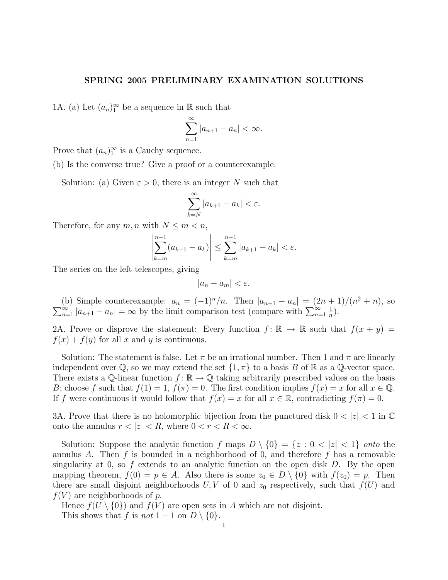## SPRING 2005 PRELIMINARY EXAMINATION SOLUTIONS

1A. (a) Let  $(a_n)_1^{\infty}$  be a sequence in  $\mathbb R$  such that

$$
\sum_{n=1}^{\infty} |a_{n+1} - a_n| < \infty.
$$

Prove that  $(a_n)_1^{\infty}$  is a Cauchy sequence.

(b) Is the converse true? Give a proof or a counterexample.

Solution: (a) Given  $\varepsilon > 0$ , there is an integer N such that

$$
\sum_{k=N}^{\infty} |a_{k+1} - a_k| < \varepsilon.
$$

Therefore, for any  $m, n$  with  $N \leq m < n$ ,

$$
\left| \sum_{k=m}^{n-1} (a_{k+1} - a_k) \right| \leq \sum_{k=m}^{n-1} |a_{k+1} - a_k| < \varepsilon.
$$

The series on the left telescopes, giving

$$
|a_n - a_m| < \varepsilon.
$$

(b) Simple counterexample:  $a_n = (-1)^n/n$ . Then  $|a_{n+1} - a_n| = (2n+1)/(n)$  $\sum$ (b) Simple counterexample:  $a_n = (-1)^n/n$ . Then  $|a_{n+1} - a_n| = (2n + 1)/(n^2 + n)$ , so  $\sum_{n=1}^{\infty} |a_{n+1} - a_n| = \infty$  by the limit comparison test (compare with  $\sum_{n=1}^{\infty} \frac{1}{n}$ ). 1  $\frac{1}{n}$ .

2A. Prove or disprove the statement: Every function  $f: \mathbb{R} \to \mathbb{R}$  such that  $f(x + y) =$  $f(x) + f(y)$  for all x and y is continuous.

Solution: The statement is false. Let  $\pi$  be an irrational number. Then 1 and  $\pi$  are linearly independent over  $\mathbb Q$ , so we may extend the set  $\{1, \pi\}$  to a basis B of  $\mathbb R$  as a  $\mathbb Q$ -vector space. There exists a Q-linear function  $f: \mathbb{R} \to \mathbb{Q}$  taking arbitrarily prescribed values on the basis B; choose f such that  $f(1) = 1$ ,  $f(\pi) = 0$ . The first condition implies  $f(x) = x$  for all  $x \in \mathbb{Q}$ . If f were continuous it would follow that  $f(x) = x$  for all  $x \in \mathbb{R}$ , contradicting  $f(\pi) = 0$ .

3A. Prove that there is no holomorphic bijection from the punctured disk  $0 < |z| < 1$  in  $\mathbb{C}$ onto the annulus  $r < |z| < R$ , where  $0 < r < R < \infty$ .

Solution: Suppose the analytic function f maps  $D \setminus \{0\} = \{z : 0 < |z| < 1\}$  onto the annulus A. Then  $f$  is bounded in a neighborhood of 0, and therefore  $f$  has a removable singularity at 0, so  $f$  extends to an analytic function on the open disk  $D$ . By the open mapping theorem,  $f(0) = p \in A$ . Also there is some  $z_0 \in D \setminus \{0\}$  with  $f(z_0) = p$ . Then there are small disjoint neighborhoods  $U, V$  of 0 and  $z_0$  respectively, such that  $f(U)$  and  $f(V)$  are neighborhoods of p.

Hence  $f(U \setminus \{0\})$  and  $f(V)$  are open sets in A which are not disjoint. This shows that f is not  $1 - 1$  on  $D \setminus \{0\}$ .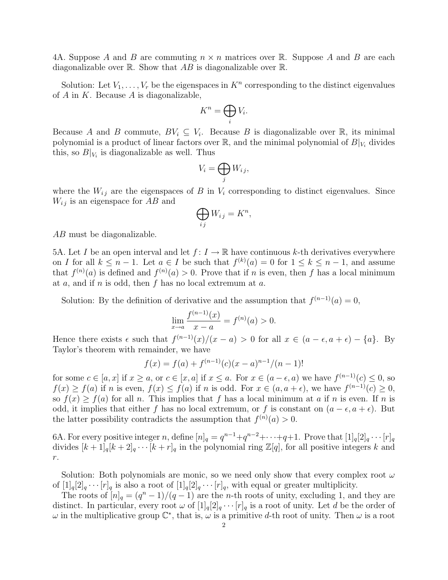4A. Suppose A and B are commuting  $n \times n$  matrices over R. Suppose A and B are each diagonalizable over  $\mathbb R$ . Show that AB is diagonalizable over  $\mathbb R$ .

Solution: Let  $V_1, \ldots, V_r$  be the eigenspaces in  $K^n$  corresponding to the distinct eigenvalues of  $A$  in  $K$ . Because  $A$  is diagonalizable,

$$
K^n = \bigoplus_i V_i.
$$

Because A and B commute,  $BV_i \subseteq V_i$ . Because B is diagonalizable over R, its minimal polynomial is a product of linear factors over  $\mathbb{R}$ , and the minimal polynomial of  $B|_{V_i}$  divides this, so  $B|_{V_i}$  is diagonalizable as well. Thus

$$
V_i = \bigoplus_j W_{ij},
$$

where the  $W_{ij}$  are the eigenspaces of B in  $V_i$  corresponding to distinct eigenvalues. Since  $W_{ij}$  is an eigenspace for AB and

$$
\bigoplus_{ij} W_{ij} = K^n,
$$

AB must be diagonalizable.

5A. Let I be an open interval and let  $f: I \to \mathbb{R}$  have continuous k-th derivatives everywhere on I for all  $k \leq n-1$ . Let  $a \in I$  be such that  $f^{(k)}(a) = 0$  for  $1 \leq k \leq n-1$ , and assume that  $f^{(n)}(a)$  is defined and  $f^{(n)}(a) > 0$ . Prove that if n is even, then f has a local minimum at  $a$ , and if  $n$  is odd, then  $f$  has no local extremum at  $a$ .

Solution: By the definition of derivative and the assumption that  $f^{(n-1)}(a) = 0$ ,

$$
\lim_{x \to a} \frac{f^{(n-1)}(x)}{x - a} = f^{(n)}(a) > 0.
$$

Hence there exists  $\epsilon$  such that  $f^{(n-1)}(x)/(x-a) > 0$  for all  $x \in (a - \epsilon, a + \epsilon) - \{a\}$ . By Taylor's theorem with remainder, we have

$$
f(x) = f(a) + f(n-1)(c)(x - a)n-1/(n - 1)!
$$

for some  $c \in [a, x]$  if  $x \ge a$ , or  $c \in [x, a]$  if  $x \le a$ . For  $x \in (a - \epsilon, a)$  we have  $f^{(n-1)}(c) \le 0$ , so  $f(x) \ge f(a)$  if n is even,  $f(x) \le f(a)$  if n is odd. For  $x \in (a, a + \epsilon)$ , we have  $f^{(n-1)}(c) \ge 0$ , so  $f(x) \ge f(a)$  for all n. This implies that f has a local minimum at a if n is even. If n is odd, it implies that either f has no local extremum, or f is constant on  $(a - \epsilon, a + \epsilon)$ . But the latter possibility contradicts the assumption that  $f^{(n)}(a) > 0$ .

6A. For every positive integer n, define  $[n]_q = q^{n-1} + q^{n-2} + \cdots + q + 1$ . Prove that  $[1]_q[2]_q \cdots [r]_q$ divides  $[k+1]_q[k+2]_q \cdots [k+r]_q$  in the polynomial ring  $\mathbb{Z}[q]$ , for all positive integers k and  $r.$ 

Solution: Both polynomials are monic, so we need only show that every complex root  $\omega$ of  $[1]_q[2]_q \cdots [r]_q$  is also a root of  $[1]_q[2]_q \cdots [r]_q$ , with equal or greater multiplicity.

The roots of  $[n]_q = (q^n - 1)/(q - 1)$  are the *n*-th roots of unity, excluding 1, and they are distinct. In particular, every root  $\omega$  of  $[1]_q[2]_q \cdots [r]_q$  is a root of unity. Let d be the order of  $\omega$  in the multiplicative group  $\mathbb{C}^*$ , that is,  $\omega$  is a primitive d-th root of unity. Then  $\omega$  is a root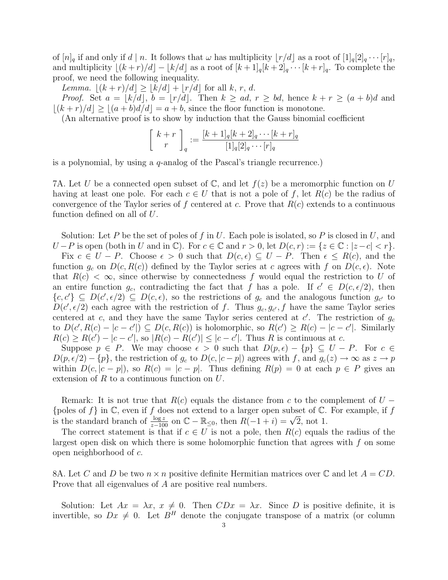of  $[n]_q$  if and only if  $d \mid n$ . It follows that  $\omega$  has multiplicity  $\lfloor r/d \rfloor$  as a root of  $[1]_q[2]_q \cdots [r]_q$ , and multiplicity  $\lfloor (k + r)/d \rfloor - \lfloor k/d \rfloor$  as a root of  $\lfloor k + 1 \rfloor_q [k + 2]_q \cdots [k + r]_q$ . To complete the proof, we need the following inequality.

*Lemma.*  $|(k + r)/d| \geq |k/d| + |r/d|$  for all k, r, d.

*Proof.* Set  $a = \lfloor k/d \rfloor$ ,  $b = \lfloor r/d \rfloor$ . Then  $k \ge ad$ ,  $r \ge bd$ , hence  $k + r \ge (a + b)d$  and  $|(k + r)/d| \ge |(a + b)d/d| = a + b$ , since the floor function is monotone.

(An alternative proof is to show by induction that the Gauss binomial coefficient

$$
\begin{bmatrix} k+r \\ r \end{bmatrix}_q := \frac{[k+1]_q [k+2]_q \cdots [k+r]_q}{[1]_q [2]_q \cdots [r]_q}
$$

is a polynomial, by using a  $q$ -analog of the Pascal's triangle recurrence.)

7A. Let U be a connected open subset of  $\mathbb{C}$ , and let  $f(z)$  be a meromorphic function on U having at least one pole. For each  $c \in U$  that is not a pole of f, let  $R(c)$  be the radius of convergence of the Taylor series of f centered at c. Prove that  $R(c)$  extends to a continuous function defined on all of U.

Solution: Let P be the set of poles of f in U. Each pole is isolated, so P is closed in U, and  $U-P$  is open (both in U and in  $\mathbb{C}$ ). For  $c \in \mathbb{C}$  and  $r > 0$ , let  $D(c,r) := \{z \in \mathbb{C} : |z-c| < r\}.$ 

Fix  $c \in U - P$ . Choose  $\epsilon > 0$  such that  $D(c, \epsilon) \subseteq U - P$ . Then  $\epsilon \leq R(c)$ , and the function  $g_c$  on  $D(c, R(c))$  defined by the Taylor series at c agrees with f on  $D(c, \epsilon)$ . Note that  $R(c) < \infty$ , since otherwise by connectedness f would equal the restriction to U of an entire function  $g_c$ , contradicting the fact that f has a pole. If  $c' \in D(c, \epsilon/2)$ , then  $\{c, c'\} \subseteq D(c', \epsilon/2) \subseteq D(c, \epsilon)$ , so the restrictions of  $g_c$  and the analogous function  $g_{c'}$  to  $D(c', \epsilon/2)$  each agree with the restriction of f. Thus  $g_c, g_{c'}$ , f have the same Taylor series centered at c, and they have the same Taylor series centered at  $c'$ . The restriction of  $g_c$ to  $D(c', R(c) - |c - c'|) \subseteq D(c, R(c))$  is holomorphic, so  $R(c') \ge R(c) - |c - c'|$ . Similarly  $R(c) \ge R(c') - |c - c'|$ , so  $|R(c) - R(c')| \le |c - c'|$ . Thus R is continuous at c.

Suppose  $p \in P$ . We may choose  $\epsilon > 0$  such that  $D(p, \epsilon) - \{p\} \subseteq U - P$ . For  $c \in$  $D(p, \epsilon/2) - \{p\}$ , the restriction of  $g_c$  to  $D(c, |c-p|)$  agrees with f, and  $g_c(z) \to \infty$  as  $z \to p$ within  $D(c, |c-p|)$ , so  $R(c) = |c-p|$ . Thus defining  $R(p) = 0$  at each  $p \in P$  gives an extension of  $R$  to a continuous function on  $U$ .

Remark: It is not true that  $R(c)$  equals the distance from c to the complement of  $U -$ {poles of f} in  $\mathbb C$ , even if f does not extend to a larger open subset of  $\mathbb C$ . For example, if f {poies of *f* } in  $\cup$ , even if *f* does not extend to a larger open subset of  $\cup$ .<br>is the standard branch of  $\frac{\log z}{z-100}$  on  $\mathbb{C} - \mathbb{R}_{\leq 0}$ , then  $R(-1+i) = \sqrt{2}$ , not 1.

The correct statement is that if  $c \in U$  is not a pole, then  $R(c)$  equals the radius of the largest open disk on which there is some holomorphic function that agrees with  $f$  on some open neighborhood of c.

8A. Let C and D be two  $n \times n$  positive definite Hermitian matrices over C and let  $A = CD$ . Prove that all eigenvalues of A are positive real numbers.

Solution: Let  $Ax = \lambda x$ ,  $x \neq 0$ . Then  $CDx = \lambda x$ . Since D is positive definite, it is invertible, so  $Dx \neq 0$ . Let  $B<sup>H</sup>$  denote the conjugate transpose of a matrix (or column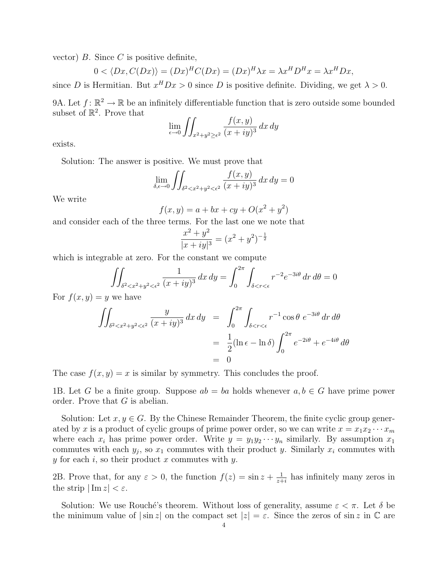vector)  $B$ . Since  $C$  is positive definite,

$$
0 < \langle Dx, C(Dx) \rangle = (Dx)^H C(Dx) = (Dx)^H \lambda x = \lambda x^H D^H x = \lambda x^H Dx,
$$

since D is Hermitian. But  $x^H D x > 0$  since D is positive definite. Dividing, we get  $\lambda > 0$ .

9A. Let  $f: \mathbb{R}^2 \to \mathbb{R}$  be an infinitely differentiable function that is zero outside some bounded subset of  $\mathbb{R}^2$ . Prove that

$$
\lim_{\epsilon \to 0} \iint_{x^2 + y^2 \ge \epsilon^2} \frac{f(x, y)}{(x + iy)^3} dx dy
$$

exists.

Solution: The answer is positive. We must prove that

$$
\lim_{\delta,\epsilon \to 0} \iint_{\delta^2 < x^2 + y^2 < \epsilon^2} \frac{f(x,y)}{(x+iy)^3} \, dx \, dy = 0
$$

We write

$$
f(x, y) = a + bx + cy + O(x^{2} + y^{2})
$$

and consider each of the three terms. For the last one we note that

$$
\frac{x^2 + y^2}{|x + iy|^3} = (x^2 + y^2)^{-\frac{1}{2}}
$$

which is integrable at zero. For the constant we compute

$$
\iint_{\delta^2 < x^2 + y^2 < \epsilon^2} \frac{1}{(x+iy)^3} \, dx \, dy = \int_0^{2\pi} \int_{\delta < r < \epsilon} r^{-2} e^{-3i\theta} \, dr \, d\theta = 0
$$

For  $f(x, y) = y$  we have

$$
\iint_{\delta^2 < x^2 + y^2 < \epsilon^2} \frac{y}{(x+iy)^3} dx dy = \int_0^{2\pi} \int_{\delta < r < \epsilon} r^{-1} \cos \theta \ e^{-3i\theta} dr d\theta
$$
\n
$$
= \frac{1}{2} (\ln \epsilon - \ln \delta) \int_0^{2\pi} e^{-2i\theta} + e^{-4i\theta} d\theta
$$
\n
$$
= 0
$$

The case  $f(x, y) = x$  is similar by symmetry. This concludes the proof.

1B. Let G be a finite group. Suppose  $ab = ba$  holds whenever  $a, b \in G$  have prime power order. Prove that G is abelian.

Solution: Let  $x, y \in G$ . By the Chinese Remainder Theorem, the finite cyclic group generated by x is a product of cyclic groups of prime power order, so we can write  $x = x_1x_2 \cdots x_m$ where each  $x_i$  has prime power order. Write  $y = y_1y_2 \cdots y_n$  similarly. By assumption  $x_1$ commutes with each  $y_j$ , so  $x_1$  commutes with their product y. Similarly  $x_i$  commutes with y for each i, so their product x commutes with y.

2B. Prove that, for any  $\varepsilon > 0$ , the function  $f(z) = \sin z + \frac{1}{z+1}$  $\frac{1}{z+i}$  has infinitely many zeros in the strip  $|\text{Im } z| < \varepsilon$ .

Solution: We use Rouché's theorem. Without loss of generality, assume  $\varepsilon < \pi$ . Let  $\delta$  be the minimum value of  $|\sin z|$  on the compact set  $|z| = \varepsilon$ . Since the zeros of sin z in  $\mathbb C$  are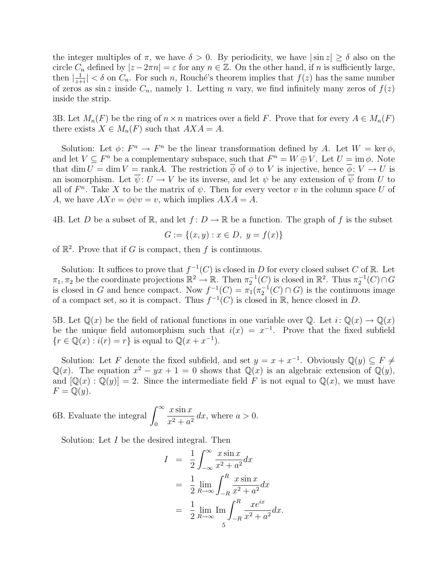the integer multiples of  $\pi$ , we have  $\delta > 0$ . By periodicity, we have  $|\sin z| \geq \delta$  also on the circle  $C_n$  defined by  $|z - 2\pi n| = \varepsilon$  for any  $n \in \mathbb{Z}$ . On the other hand, if n is sufficiently large, then  $\frac{1}{\tau}$  $\frac{1}{z+i}| < \delta$  on  $C_n$ . For such n, Rouché's theorem implies that  $f(z)$  has the same number of zeros as sin z inside  $C_n$ , namely 1. Letting n vary, we find infinitely many zeros of  $f(z)$ inside the strip.

3B. Let  $M_n(F)$  be the ring of  $n \times n$  matrices over a field F. Prove that for every  $A \in M_n(F)$ there exists  $X \in M_n(F)$  such that  $AXA = A$ .

Solution: Let  $\phi: F^n \to F^n$  be the linear transformation defined by A. Let  $W = \text{ker }\phi$ , and let  $V \subseteq F^n$  be a complementary subspace, such that  $F^n = W \oplus V$ . Let  $U = \text{im } \phi$ . Note that dim  $U = \dim V = \text{rank}A$ . The restriction  $\overline{\phi}$  of  $\phi$  to V is injective, hence  $\overline{\phi}: V \to U$  is an isomorphism. Let  $\overline{\psi}: U \to V$  be its inverse, and let  $\psi$  be any extension of  $\overline{\psi}$  from U to all of  $F<sup>n</sup>$ . Take X to be the matrix of  $\psi$ . Then for every vector v in the column space U of A, we have  $AXv = \phi\psi v = v$ , which implies  $AXA = A$ .

4B. Let D be a subset of R, and let  $f: D \to \mathbb{R}$  be a function. The graph of f is the subset

$$
G := \{(x, y) : x \in D, y = f(x)\}\
$$

of  $\mathbb{R}^2$ . Prove that if G is compact, then f is continuous.

Solution: It suffices to prove that  $f^{-1}(C)$  is closed in D for every closed subset C of R. Let  $\pi_1, \pi_2$  be the coordinate projections  $\mathbb{R}^2 \to \mathbb{R}$ . Then  $\pi_2^{-1}(C)$  is closed in  $\mathbb{R}^2$ . Thus  $\pi_2^{-1}(C) \cap G$ is closed in G and hence compact. Now  $f^{-1}(C) = \pi_1(\pi_2^{-1}(C) \cap G)$  is the continuous image of a compact set, so it is compact. Thus  $f^{-1}(C)$  is closed in  $\mathbb{R}$ , hence closed in D.

5B. Let  $\mathbb{Q}(x)$  be the field of rational functions in one variable over  $\mathbb{Q}$ . Let  $i: \mathbb{Q}(x) \to \mathbb{Q}(x)$ be the unique field automorphism such that  $i(x) = x^{-1}$ . Prove that the fixed subfield  $\{r \in \mathbb{Q}(x) : i(r) = r\}$  is equal to  $\mathbb{Q}(x + x^{-1})$ .

Solution: Let F denote the fixed subfield, and set  $y = x + x^{-1}$ . Obviously  $\mathbb{Q}(y) \subseteq F \neq 0$  $\mathbb{Q}(x)$ . The equation  $x^2 - yx + 1 = 0$  shows that  $\mathbb{Q}(x)$  is an algebraic extension of  $\mathbb{Q}(y)$ , and  $[\mathbb{Q}(x) : \mathbb{Q}(y)] = 2$ . Since the intermediate field F is not equal to  $\mathbb{Q}(x)$ , we must have  $F = \mathbb{Q}(y).$ 

6B. Evaluate the integral  $\int^{\infty}$ 0  $x \sin x$  $\frac{x \sin x}{x^2 + a^2} dx$ , where  $a > 0$ .

Solution: Let I be the desired integral. Then

$$
I = \frac{1}{2} \int_{-\infty}^{\infty} \frac{x \sin x}{x^2 + a^2} dx
$$
  
= 
$$
\frac{1}{2} \lim_{R \to \infty} \int_{-R}^{R} \frac{x \sin x}{x^2 + a^2} dx
$$
  
= 
$$
\frac{1}{2} \lim_{R \to \infty} \text{Im} \int_{-R}^{R} \frac{xe^{ix}}{x^2 + a^2} dx.
$$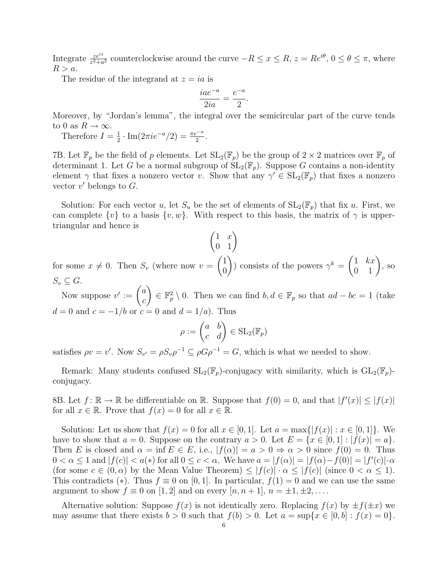Integrate  $\frac{ze^{iz}}{z^2+a^2}$  counterclockwise around the curve  $-R \le x \le R$ ,  $z = Re^{i\theta}$ ,  $0 \le \theta \le \pi$ , where  $R > a$ .

The residue of the integrand at  $z = ia$  is

$$
\frac{iae^{-a}}{2ia} = \frac{e^{-a}}{2}.
$$

Moreover, by "Jordan's lemma", the integral over the semicircular part of the curve tends to 0 as  $R \to \infty$ .

Therefore  $I=\frac{1}{2}$  $\frac{1}{2} \cdot \text{Im}(2\pi i e^{-a}/2) = \frac{\pi e^{-a}}{2}.$ 

7B. Let  $\mathbb{F}_p$  be the field of p elements. Let  $SL_2(\mathbb{F}_p)$  be the group of  $2 \times 2$  matrices over  $\mathbb{F}_p$  of determinant 1. Let G be a normal subgroup of  $SL_2(\mathbb{F}_p)$ . Suppose G contains a non-identity element  $\gamma$  that fixes a nonzero vector v. Show that any  $\gamma' \in SL_2(\mathbb{F}_p)$  that fixes a nonzero vector  $v'$  belongs to  $G$ .

Solution: For each vector u, let  $S_u$  be the set of elements of  $SL_2(\mathbb{F}_p)$  that fix u. First, we can complete  $\{v\}$  to a basis  $\{v, w\}$ . With respect to this basis, the matrix of  $\gamma$  is uppertriangular and hence is

 $\begin{pmatrix} 1 & x \\ 0 & 1 \end{pmatrix}$ for some  $x \neq 0$ . Then  $S_v$  (where now  $v =$  $\sqrt{1}$ 0  $\setminus$ ) consists of the powers  $\gamma^k = \begin{pmatrix} 1 & kx \\ 0 & 1 \end{pmatrix}$ , so  $S_v \subseteq G$ .

Now suppose  $v' := \begin{pmatrix} a \\ a \end{pmatrix}$ c  $\Big\} \in \mathbb{F}_p^2 \setminus 0$ . Then we can find  $b, d \in \mathbb{F}_p$  so that  $ad - bc = 1$  (take  $d = 0$  and  $c = -1/b$  or  $c = 0$  and  $d = 1/a$ . Thus

$$
\rho := \begin{pmatrix} a & b \\ c & d \end{pmatrix} \in SL_2(\mathbb{F}_p)
$$

satisfies  $\rho v = v'$ . Now  $S_{v'} = \rho S_v \rho^{-1} \subseteq \rho G \rho^{-1} = G$ , which is what we needed to show.

Remark: Many students confused  $SL_2(\mathbb{F}_p)$ -conjugacy with similarity, which is  $GL_2(\mathbb{F}_p)$ conjugacy.

8B. Let  $f: \mathbb{R} \to \mathbb{R}$  be differentiable on  $\mathbb{R}$ . Suppose that  $f(0) = 0$ , and that  $|f'(x)| \leq |f(x)|$ for all  $x \in \mathbb{R}$ . Prove that  $f(x) = 0$  for all  $x \in \mathbb{R}$ .

Solution: Let us show that  $f(x) = 0$  for all  $x \in [0,1]$ . Let  $a = \max\{|f(x)| : x \in [0,1]\}$ . We have to show that  $a = 0$ . Suppose on the contrary  $a > 0$ . Let  $E = \{x \in [0, 1] : |f(x)| = a\}$ . Then E is closed and  $\alpha = \inf E \in E$ , i.e.,  $|f(\alpha)| = a > 0 \Rightarrow \alpha > 0$  since  $f(0) = 0$ . Thus  $0 < \alpha \leq 1$  and  $|f(c)| < a(*)$  for all  $0 \leq c < \alpha$ . We have  $a = |f(\alpha)| = |f(\alpha) - f(0)| = |f'(c)| \cdot \alpha$ (for some  $c \in (0, \alpha)$  by the Mean Value Theorem)  $\leq |f(c)| \cdot \alpha \leq |f(c)|$  (since  $0 < \alpha \leq 1$ ). This contradicts (\*). Thus  $f \equiv 0$  on [0, 1]. In particular,  $f(1) = 0$  and we can use the same argument to show  $f \equiv 0$  on [1, 2] and on every  $[n, n+1], n = \pm 1, \pm 2, \ldots$ .

Alternative solution: Suppose  $f(x)$  is not identically zero. Replacing  $f(x)$  by  $\pm f(\pm x)$  we may assume that there exists  $b > 0$  such that  $f(b) > 0$ . Let  $a = \sup\{x \in [0, b] : f(x) = 0\}$ .